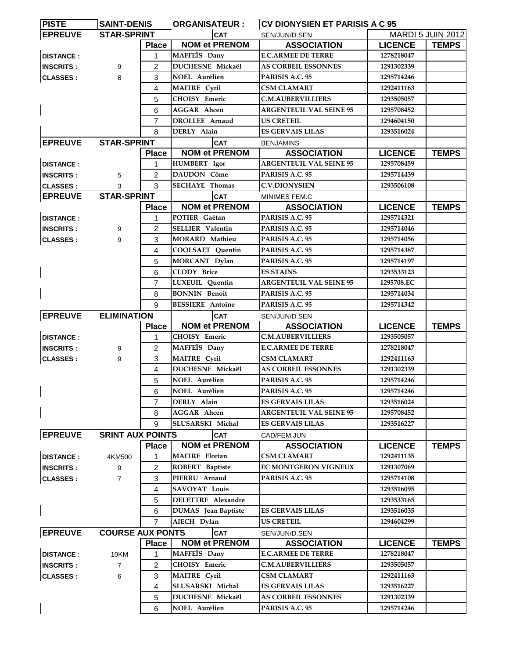| <b>PISTE</b>     | <b>SAINT-DENIS</b>      |                | <b>ORGANISATEUR:</b>       | <b>CV DIONYSIEN ET PARISIS A C 95</b> |                |                          |
|------------------|-------------------------|----------------|----------------------------|---------------------------------------|----------------|--------------------------|
| <b>EPREUVE</b>   | <b>STAR-SPRINT</b>      |                | <b>CAT</b>                 | SEN/JUN/D.SEN                         |                | <b>MARDI 5 JUIN 2012</b> |
|                  |                         | <b>Place</b>   | <b>NOM et PRENOM</b>       | <b>ASSOCIATION</b>                    | <b>LICENCE</b> | <b>TEMPS</b>             |
| <b>DISTANCE:</b> |                         | 1              | MAFFEÏS Dany               | <b>E.C.ARMEE DE TERRE</b>             | 1278218047     |                          |
| <b>INSCRITS:</b> | 9                       | $\overline{2}$ | <b>DUCHESNE Mickaël</b>    | <b>AS CORBEIL ESSONNES</b>            | 1291302339     |                          |
| <b>CLASSES:</b>  | 8                       | 3              | <b>NOEL Aurélien</b>       | PARISIS A.C. 95                       | 1295714246     |                          |
|                  |                         | 4              | MAITRE Cyril               | <b>CSM CLAMART</b>                    | 1292411163     |                          |
|                  |                         | 5              | CHOISY Emeric              | <b>C.M.AUBERVILLIERS</b>              | 1293505057     |                          |
|                  |                         | 6              | <b>AGGAR</b> Ahcen         | <b>ARGENTEUIL VAL SEINE 95</b>        | 1295708452     |                          |
|                  |                         | $\overline{7}$ | DROLLEE Arnaud             | <b>US CRETEIL</b>                     | 1294604150     |                          |
|                  |                         | 8              | DERLY Alain                | <b>ES GERVAIS LILAS</b>               | 1293516024     |                          |
| <b>EPREUVE</b>   | <b>STAR-SPRINT</b>      |                | <b>CAT</b>                 | <b>BENJAMINS</b>                      |                |                          |
|                  |                         | <b>Place</b>   | <b>NOM et PRENOM</b>       | <b>ASSOCIATION</b>                    | <b>LICENCE</b> | <b>TEMPS</b>             |
| <b>DISTANCE:</b> |                         | 1              | <b>HUMBERT</b> Igor        | <b>ARGENTEUIL VAL SEINE 95</b>        | 1295708459     |                          |
| <b>INSCRITS:</b> | 5                       | $\overline{2}$ | <b>DAUDON Côme</b>         | PARISIS A.C. 95                       | 1295714439     |                          |
| <b>CLASSES:</b>  | 3                       | 3              | <b>SECHAYE Thomas</b>      | <b>C.V.DIONYSIEN</b>                  | 1293506108     |                          |
| <b>EPREUVE</b>   | <b>STAR-SPRINT</b>      |                | <b>CAT</b>                 | MINIMES FEM.C                         |                |                          |
|                  |                         | <b>Place</b>   | <b>NOM et PRENOM</b>       | <b>ASSOCIATION</b>                    | <b>LICENCE</b> | <b>TEMPS</b>             |
| <b>DISTANCE:</b> |                         | 1              | POTIER Gaëtan              | PARISIS A.C. 95                       | 1295714321     |                          |
| <b>INSCRITS:</b> | 9                       | 2              | <b>SELLIER</b> Valentin    | PARISIS A.C. 95                       | 1295714046     |                          |
| <b>CLASSES:</b>  | 9                       | 3              | <b>MORARD</b> Mathieu      | PARISIS A.C. 95                       | 1295714056     |                          |
|                  |                         | 4              | <b>COOLSAET</b> Quentin    | PARISIS A.C. 95                       | 1295714387     |                          |
|                  |                         | 5              | MORCANT Dylan              | PARISIS A.C. 95                       | 1295714197     |                          |
|                  |                         | 6              | <b>CLODY Brice</b>         | <b>ES STAINS</b>                      | 1293533123     |                          |
|                  |                         | $\overline{7}$ | LUXEUIL Quentin            | <b>ARGENTEUIL VAL SEINE 95</b>        | 1295708.EC     |                          |
|                  |                         | 8              | <b>BONNIN Benoît</b>       | PARISIS A.C. 95                       | 1295714034     |                          |
|                  |                         | 9              | <b>BESSIERE</b> Antoine    | PARISIS A.C. 95                       | 1295714342     |                          |
| <b>EPREUVE</b>   | <b>ELIMINATION</b>      |                | <b>CAT</b>                 | SEN/JUN/D.SEN                         |                |                          |
|                  |                         | <b>Place</b>   | <b>NOM et PRENOM</b>       | <b>ASSOCIATION</b>                    | <b>LICENCE</b> | <b>TEMPS</b>             |
| <b>DISTANCE:</b> |                         | 1              | <b>CHOISY Emeric</b>       | <b>C.M.AUBERVILLIERS</b>              | 1293505057     |                          |
| <b>INSCRITS:</b> | 9                       | 2              | MAFFEÏS Dany               | <b>E.C.ARMEE DE TERRE</b>             | 1278218047     |                          |
| <b>CLASSES:</b>  | 9                       | 3              | <b>MAITRE Cyril</b>        | CSM CLAMART                           | 1292411163     |                          |
|                  |                         | 4              | <b>DUCHESNE Mickaël</b>    | <b>AS CORBEIL ESSONNES</b>            | 1291302339     |                          |
|                  |                         | 5              | <b>NOEL Aurélien</b>       | PARISIS A.C. 95                       | 1295714246     |                          |
|                  |                         | 6              | <b>NOEL Aurélien</b>       | PARISIS A.C. 95                       | 1295714246     |                          |
|                  |                         | 7              | DERLY Alain                | <b>ES GERVAIS LILAS</b>               | 1293516024     |                          |
|                  |                         | 8              | <b>AGGAR</b> Ahcen         | <b>ARGENTEUIL VAL SEINE 95</b>        | 1295708452     |                          |
|                  |                         | 9              | SLUSARSKI Michal           | <b>ES GERVAIS LILAS</b>               | 1293516227     |                          |
| <b>EPREUVE</b>   | <b>SRINT AUX POINTS</b> |                | <b>CAT</b>                 | CAD/FEM.JUN                           |                |                          |
|                  |                         | <b>Place</b>   | <b>NOM et PRENOM</b>       | <b>ASSOCIATION</b>                    | <b>LICENCE</b> | <b>TEMPS</b>             |
| <b>DISTANCE:</b> | 4KM500                  | 1              | <b>MAITRE</b> Florian      | <b>CSM CLAMART</b>                    | 1292411135     |                          |
| <b>INSCRITS:</b> | 9                       | 2              | ROBERT Baptiste            | EC MONTGERON VIGNEUX                  | 1291307069     |                          |
| <b>CLASSES:</b>  | $\overline{7}$          | 3              | PIERRU Arnaud              | PARISIS A.C. 95                       | 1295714108     |                          |
|                  |                         | 4              | SAVOYAT Louis              |                                       | 1293516095     |                          |
|                  |                         | 5              | <b>DELETTRE Alexandre</b>  |                                       | 1293533165     |                          |
|                  |                         | 6              | <b>DUMAS</b> Jean Baptiste | <b>ES GERVAIS LILAS</b>               | 1293516035     |                          |
|                  |                         | 7              | AIECH Dylan                | <b>US CRETEIL</b>                     | 1294604299     |                          |
| <b>EPREUVE</b>   | <b>COURSE AUX PONTS</b> |                | <b>CAT</b>                 | SEN/JUN/D.SEN                         |                |                          |
|                  |                         | <b>Place</b>   | <b>NOM et PRENOM</b>       | <b>ASSOCIATION</b>                    | <b>LICENCE</b> | <b>TEMPS</b>             |
| <b>DISTANCE:</b> | 10KM                    | 1              | MAFFEIS Dany               | <b>E.C.ARMEE DE TERRE</b>             | 1278218047     |                          |
| <b>INSCRITS:</b> | $\overline{7}$          | $\overline{2}$ | CHOISY Emeric              | <b>C.M.AUBERVILLIERS</b>              | 1293505057     |                          |
| <b>CLASSES:</b>  | 6                       | 3              | <b>MAITRE</b> Cyril        | <b>CSM CLAMART</b>                    | 1292411163     |                          |
|                  |                         | 4              | SLUSARSKI Michal           | <b>ES GERVAIS LILAS</b>               | 1293516227     |                          |
|                  |                         | 5              | DUCHESNE Mickaël           | <b>AS CORBEIL ESSONNES</b>            | 1291302339     |                          |
|                  |                         | 6              | <b>NOEL Aurélien</b>       | PARISIS A.C. 95                       | 1295714246     |                          |
|                  |                         |                |                            |                                       |                |                          |